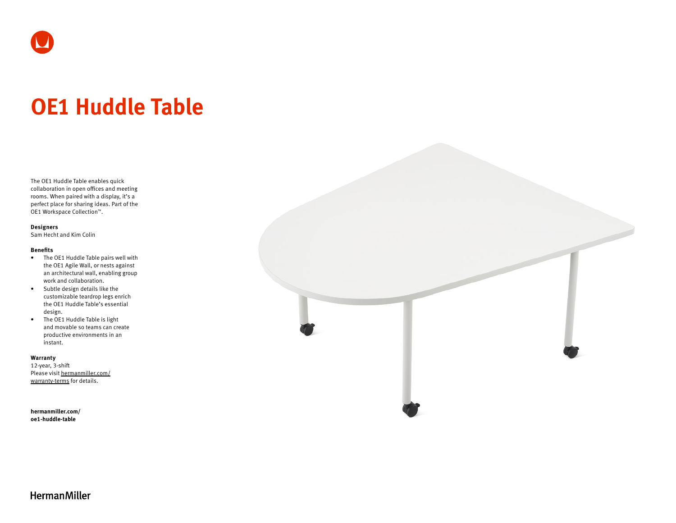# **OE1 Huddle Table**

The OE1 Huddle Table enables quick collaboration in open offices and meeting rooms. When paired with a display, it's a perfect place for sharing ideas. Part of the OE1 Workspace Collection™.

### **Designers**

Sam Hecht and Kim Colin

## **Benefits**

- The OE1 Huddle Table pairs well with the OE1 Agile Wall, or nests against an architectural wall, enabling group work and collaboration.
- Subtle design details like the customizable teardrop legs enrich the OE1 Huddle Table's essential design.
- The OE1 Huddle Table is light and movable so teams can create productive environments in an instant.

#### **Warranty**

12-year, 3-shift Please visit [hermanmiller.com/](https://hermanmiller.com/warranty-terms) [warranty-terms](https://hermanmiller.com/warranty-terms) for details.

**[hermanmiller.com/](https://hermanmiller.com/oe1-huddle-table) [oe1-h](https://hermanmiller.com/oe1-huddle-table)uddle-table**



## **HermanMiller**